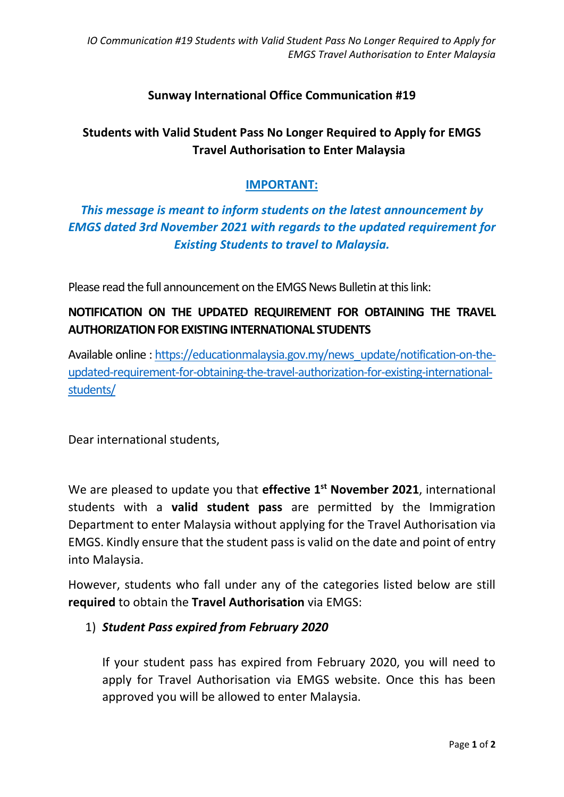*IO Communication #19 Students with Valid Student Pass No Longer Required to Apply for EMGS Travel Authorisation to Enter Malaysia*

## **Sunway International Office Communication #19**

# **Students with Valid Student Pass No Longer Required to Apply for EMGS Travel Authorisation to Enter Malaysia**

### **IMPORTANT:**

# *This message is meant to inform students on the latest announcement by EMGS dated 3rd November 2021 with regards to the updated requirement for Existing Students to travel to Malaysia.*

Please read the full announcement on the EMGS News Bulletin at this link:

## **NOTIFICATION ON THE UPDATED REQUIREMENT FOR OBTAINING THE TRAVEL AUTHORIZATION FOR EXISTING INTERNATIONAL STUDENTS**

Available online : [https://educationmalaysia.gov.my/news\\_update/notification-on-the](https://educationmalaysia.gov.my/news_update/notification-on-the-updated-requirement-for-obtaining-the-travel-authorization-for-existing-international-students/)[updated-requirement-for-obtaining-the-travel-authorization-for-existing-international](https://educationmalaysia.gov.my/news_update/notification-on-the-updated-requirement-for-obtaining-the-travel-authorization-for-existing-international-students/)[students/](https://educationmalaysia.gov.my/news_update/notification-on-the-updated-requirement-for-obtaining-the-travel-authorization-for-existing-international-students/)

Dear international students,

We are pleased to update you that **effective 1st November 2021**, international students with a **valid student pass** are permitted by the Immigration Department to enter Malaysia without applying for the Travel Authorisation via EMGS. Kindly ensure that the student pass is valid on the date and point of entry into Malaysia.

However, students who fall under any of the categories listed below are still **required** to obtain the **Travel Authorisation** via EMGS:

#### 1) *Student Pass expired from February 2020*

If your student pass has expired from February 2020, you will need to apply for Travel Authorisation via EMGS website. Once this has been approved you will be allowed to enter Malaysia.